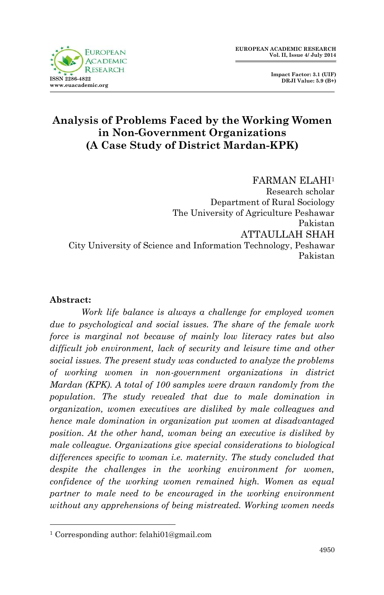

 **Impact Factor: 3.1 (UIF) DRJI Value: 5.9 (B+)**

# **Analysis of Problems Faced by the Working Women in Non-Government Organizations (A Case Study of District Mardan-KPK)**

FARMAN ELAHI<sup>1</sup> Research scholar Department of Rural Sociology The University of Agriculture Peshawar Pakistan ATTAULLAH SHAH City University of Science and Information Technology, Peshawar Pakistan

#### **Abstract:**

1

*Work life balance is always a challenge for employed women due to psychological and social issues. The share of the female work force is marginal not because of mainly low literacy rates but also difficult job environment, lack of security and leisure time and other social issues. The present study was conducted to analyze the problems of working women in non-government organizations in district Mardan (KPK). A total of 100 samples were drawn randomly from the population. The study revealed that due to male domination in organization, women executives are disliked by male colleagues and hence male domination in organization put women at disadvantaged position. At the other hand, woman being an executive is disliked by male colleague. Organizations give special considerations to biological differences specific to woman i.e. maternity. The study concluded that despite the challenges in the working environment for women, confidence of the working women remained high. Women as equal partner to male need to be encouraged in the working environment without any apprehensions of being mistreated. Working women needs* 

<sup>1</sup> Corresponding author: felahi01@gmail.com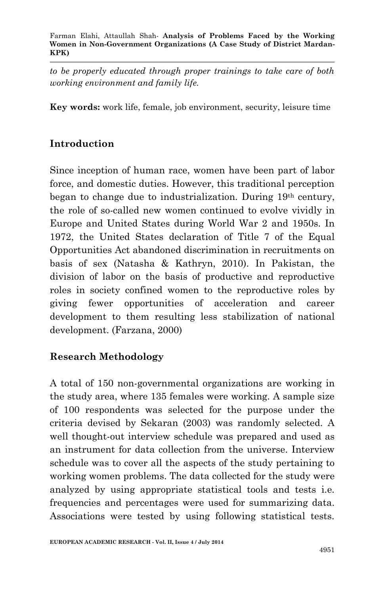*to be properly educated through proper trainings to take care of both working environment and family life.*

**Key words:** work life, female, job environment, security, leisure time

## **Introduction**

Since inception of human race, women have been part of labor force, and domestic duties. However, this traditional perception began to change due to industrialization. During 19th century, the role of so-called new women continued to evolve vividly in Europe and United States during World War 2 and 1950s. In 1972, the United States declaration of Title 7 of the Equal Opportunities Act abandoned discrimination in recruitments on basis of sex (Natasha & Kathryn, 2010). In Pakistan, the division of labor on the basis of productive and reproductive roles in society confined women to the reproductive roles by giving fewer opportunities of acceleration and career development to them resulting less stabilization of national development. (Farzana, 2000)

## **Research Methodology**

A total of 150 non-governmental organizations are working in the study area, where 135 females were working. A sample size of 100 respondents was selected for the purpose under the criteria devised by Sekaran (2003) was randomly selected. A well thought-out interview schedule was prepared and used as an instrument for data collection from the universe. Interview schedule was to cover all the aspects of the study pertaining to working women problems. The data collected for the study were analyzed by using appropriate statistical tools and tests i.e. frequencies and percentages were used for summarizing data. Associations were tested by using following statistical tests.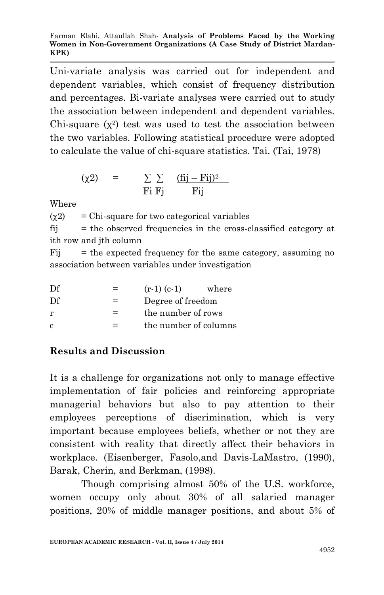Uni-variate analysis was carried out for independent and dependent variables, which consist of frequency distribution and percentages. Bi-variate analyses were carried out to study the association between independent and dependent variables. Chi-square  $(x^2)$  test was used to test the association between the two variables. Following statistical procedure were adopted to calculate the value of chi-square statistics. Tai. (Tai, 1978)

$$
\begin{array}{rcl}\n(\chi 2) & = & \sum \sum \quad \frac{(fij - Fij)^2}{Fij} \\
\hline\n\text{Fi Fj} & \text{Fij}\n\end{array}
$$

Where

 $\gamma$  = Chi-square for two categorical variables fij = the observed frequencies in the cross-classified category at ith row and jth column

Fij = the expected frequency for the same category, assuming no association between variables under investigation

| Df | $=$ | $(r-1)$ $(c-1)$       | where |  |  |
|----|-----|-----------------------|-------|--|--|
| Df | $=$ | Degree of freedom     |       |  |  |
| r  | $=$ | the number of rows    |       |  |  |
| c  | =   | the number of columns |       |  |  |

# **Results and Discussion**

It is a challenge for organizations not only to manage effective implementation of fair policies and reinforcing appropriate managerial behaviors but also to pay attention to their employees perceptions of discrimination, which is very important because employees beliefs, whether or not they are consistent with reality that directly affect their behaviors in workplace. (Eisenberger, Fasolo,and Davis-LaMastro, (1990), Barak, Cherin, and Berkman, (1998).

Though comprising almost 50% of the U.S. workforce, women occupy only about 30% of all salaried manager positions, 20% of middle manager positions, and about 5% of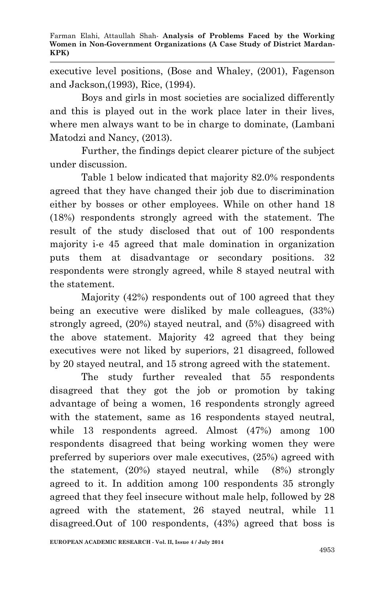executive level positions, (Bose and Whaley, (2001), Fagenson and Jackson,(1993), Rice, (1994).

Boys and girls in most societies are socialized differently and this is played out in the work place later in their lives, where men always want to be in charge to dominate, (Lambani Matodzi and Nancy, (2013).

Further, the findings depict clearer picture of the subject under discussion.

Table 1 below indicated that majority 82.0% respondents agreed that they have changed their job due to discrimination either by bosses or other employees. While on other hand 18 (18%) respondents strongly agreed with the statement. The result of the study disclosed that out of 100 respondents majority i-e 45 agreed that male domination in organization puts them at disadvantage or secondary positions. 32 respondents were strongly agreed, while 8 stayed neutral with the statement.

Majority (42%) respondents out of 100 agreed that they being an executive were disliked by male colleagues, (33%) strongly agreed, (20%) stayed neutral, and (5%) disagreed with the above statement. Majority 42 agreed that they being executives were not liked by superiors, 21 disagreed, followed by 20 stayed neutral, and 15 strong agreed with the statement.

The study further revealed that 55 respondents disagreed that they got the job or promotion by taking advantage of being a women, 16 respondents strongly agreed with the statement, same as 16 respondents stayed neutral, while 13 respondents agreed. Almost (47%) among 100 respondents disagreed that being working women they were preferred by superiors over male executives, (25%) agreed with the statement, (20%) stayed neutral, while (8%) strongly agreed to it. In addition among 100 respondents 35 strongly agreed that they feel insecure without male help, followed by 28 agreed with the statement, 26 stayed neutral, while 11 disagreed.Out of 100 respondents, (43%) agreed that boss is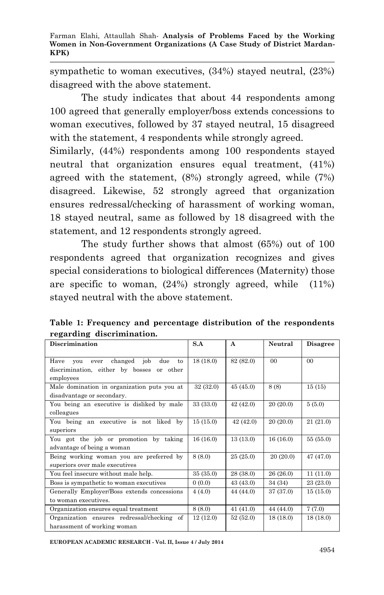sympathetic to woman executives, (34%) stayed neutral, (23%) disagreed with the above statement.

The study indicates that about 44 respondents among 100 agreed that generally employer/boss extends concessions to woman executives, followed by 37 stayed neutral, 15 disagreed with the statement, 4 respondents while strongly agreed.

Similarly, (44%) respondents among 100 respondents stayed neutral that organization ensures equal treatment, (41%) agreed with the statement, (8%) strongly agreed, while (7%) disagreed. Likewise, 52 strongly agreed that organization ensures redressal/checking of harassment of working woman, 18 stayed neutral, same as followed by 18 disagreed with the statement, and 12 respondents strongly agreed.

The study further shows that almost (65%) out of 100 respondents agreed that organization recognizes and gives special considerations to biological differences (Maternity) those are specific to woman, (24%) strongly agreed, while (11%) stayed neutral with the above statement.

**Table 1: Frequency and percentage distribution of the respondents regarding discrimination.**

| <b>Discrimination</b>                                                                                        | S.A       | $\mathbf{A}$ | Neutral        | <b>Disagree</b> |
|--------------------------------------------------------------------------------------------------------------|-----------|--------------|----------------|-----------------|
| job<br>Have<br>changed<br>due<br>vou<br>ever<br>to<br>discrimination, either by bosses or other<br>employees | 18(18.0)  | 82 (82.0)    | 0 <sup>0</sup> | 0 <sub>0</sub>  |
| Male domination in organization puts you at<br>disadvantage or secondary.                                    | 32(32.0)  | 45(45.0)     | 8(8)           | 15(15)          |
| You being an executive is disliked by male<br>colleagues                                                     | 33 (33.0) | 42(42.0)     | 20(20.0)       | 5(5.0)          |
| You being an executive is not liked by<br>superiors                                                          | 15(15.0)  | 42(42.0)     | 20(20.0)       | 21(21.0)        |
| You got the job or promotion by taking<br>advantage of being a woman                                         | 16(16.0)  | 13(13.0)     | 16(16.0)       | 55(55.0)        |
| Being working woman you are preferred by<br>superiors over male executives                                   | 8(8.0)    | 25(25.0)     | 20(20.0)       | 47(47.0)        |
| You feel insecure without male help.                                                                         | 35 (35.0) | 28 (38.0)    | 26(26.0)       | 11(11.0)        |
| Boss is sympathetic to woman executives                                                                      | 0(0.0)    | 43(43.0)     | 34 (34)        | 23(23.0)        |
| Generally Employer/Boss extends concessions<br>to woman executives.                                          | 4(4.0)    | 44 (44.0)    | 37 (37.0)      | 15(15.0)        |
| Organization ensures equal treatment                                                                         | 8(8.0)    | 41(41.0)     | 44 (44.0)      | 7(7.0)          |
| Organization ensures redressal/checking of<br>harassment of working woman                                    | 12(12.0)  | 52(52.0)     | 18(18.0)       | 18(18.0)        |

**EUROPEAN ACADEMIC RESEARCH - Vol. II, Issue 4 / July 2014**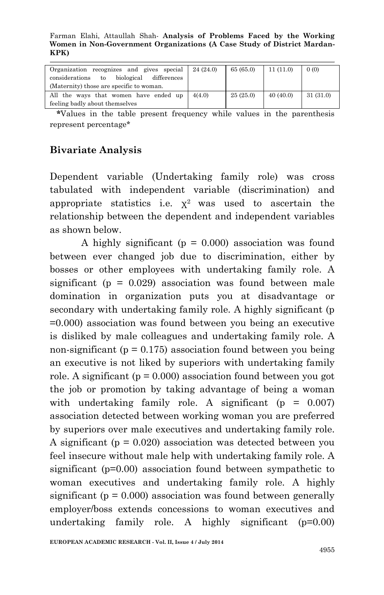Farman Elahi, Attaullah Shah*-* **Analysis of Problems Faced by the Working Women in Non-Government Organizations (A Case Study of District Mardan-KPK)**

| Organization recognizes and gives special         | 24(24.0) | 65(65.0) | 11(11.0) | 0(0)     |
|---------------------------------------------------|----------|----------|----------|----------|
| biological<br>differences<br>considerations<br>to |          |          |          |          |
| (Maternity) those are specific to woman.          |          |          |          |          |
| All the ways that women have ended up             | 4(4.0)   | 25(25.0) | 40(40.0) | 31(31.0) |
| feeling badly about themselves                    |          |          |          |          |

 **\***Values in the table present frequency while values in the parenthesis represent percentage\*

## **Bivariate Analysis**

Dependent variable (Undertaking family role) was cross tabulated with independent variable (discrimination) and appropriate statistics i.e.  $x^2$  was used to ascertain the relationship between the dependent and independent variables as shown below.

A highly significant ( $p = 0.000$ ) association was found between ever changed job due to discrimination, either by bosses or other employees with undertaking family role. A significant ( $p = 0.029$ ) association was found between male domination in organization puts you at disadvantage or secondary with undertaking family role. A highly significant (p =0.000) association was found between you being an executive is disliked by male colleagues and undertaking family role. A non-significant ( $p = 0.175$ ) association found between you being an executive is not liked by superiors with undertaking family role. A significant ( $p = 0.000$ ) association found between you got the job or promotion by taking advantage of being a woman with undertaking family role. A significant  $(p = 0.007)$ association detected between working woman you are preferred by superiors over male executives and undertaking family role. A significant ( $p = 0.020$ ) association was detected between you feel insecure without male help with undertaking family role. A significant (p=0.00) association found between sympathetic to woman executives and undertaking family role. A highly significant ( $p = 0.000$ ) association was found between generally employer/boss extends concessions to woman executives and undertaking family role. A highly significant (p=0.00)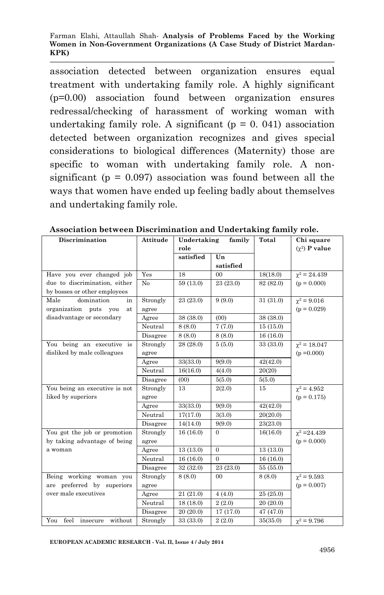association detected between organization ensures equal treatment with undertaking family role. A highly significant (p=0.00) association found between organization ensures redressal/checking of harassment of working woman with undertaking family role. A significant  $(p = 0, 041)$  association detected between organization recognizes and gives special considerations to biological differences (Maternity) those are specific to woman with undertaking family role. A nonsignificant ( $p = 0.097$ ) association was found between all the ways that women have ended up feeling badly about themselves and undertaking family role.

| Discrimination                  | Attitude | Undertaking<br>family |                | Total     | Chi square         |
|---------------------------------|----------|-----------------------|----------------|-----------|--------------------|
|                                 |          | role                  |                |           | $(\chi^2)$ P value |
|                                 |          | satisfied             | Un             |           |                    |
|                                 |          |                       | satisfied      |           |                    |
| Have you ever changed job       | Yes      | 18                    | 0 <sub>0</sub> | 18(18.0)  | $\chi^2 = 24.439$  |
| due to discrimination, either   | No       | 59 (13.0)             | 23 (23.0)      | 82 (82.0) | $(p = 0.000)$      |
| by bosses or other employees    |          |                       |                |           |                    |
| domination<br>Male<br>in        | Strongly | 23 (23.0)             | 9(9.0)         | 31 (31.0) | $\gamma^2 = 9.016$ |
| organization puts<br>you<br>at  | agree    |                       |                |           | $(p = 0.029)$      |
| disadvantage or secondary       | Agree    | 38 (38.0)             | (00)           | 38 (38.0) |                    |
|                                 | Neutral  | 8(8.0)                | 7(7.0)         | 15(15.0)  |                    |
|                                 | Disagree | 8(8.0)                | 8(8.0)         | 16(16.0)  |                    |
| You being an executive is       | Strongly | 28 (28.0)             | 5(5.0)         | 33 (33.0) | $\chi^2 = 18.047$  |
| disliked by male colleagues     | agree    |                       |                |           | $(p = 0.000)$      |
|                                 | Agree    | 33(33.0)              | 9(9.0)         | 42(42.0)  |                    |
|                                 | Neutral  | 16(16.0)              | 4(4.0)         | 20(20)    |                    |
|                                 | Disagree | (00)                  | 5(5.0)         | 5(5.0)    |                    |
| You being an executive is not   | Strongly | 13                    | 2(2.0)         | 15        | $\gamma^2 = 4.952$ |
| liked by superiors              | agree    |                       |                |           | $(p = 0.175)$      |
|                                 | Agree    | 33(33.0)              | 9(9.0)         | 42(42.0)  |                    |
|                                 | Neutral  | 17(17.0)              | 3(3.0)         | 20(20.0)  |                    |
|                                 | Disagree | 14(14.0)              | 9(9.0)         | 23(23.0)  |                    |
| You got the job or promotion    | Strongly | 16(16.0)              | $\mathbf{0}$   | 16(16.0)  | $\chi^2 = 24.439$  |
| by taking advantage of being    | agree    |                       |                |           | $(p = 0.000)$      |
| a woman                         | Agree    | 13(13.0)              | $\mathbf{0}$   | 13(13.0)  |                    |
|                                 | Neutral  | 16(16.0)              | $\theta$       | 16(16.0)  |                    |
|                                 | Disagree | 32 (32.0)             | 23 (23.0)      | 55(55.0)  |                    |
| Being working woman you         | Strongly | 8(8.0)                | $00\,$         | 8(8.0)    | $\gamma^2 = 9.593$ |
| are preferred by superiors      | agree    |                       |                |           | $(p = 0.007)$      |
| over male executives            | Agree    | 21(21.0)              | 4(4.0)         | 25(25.0)  |                    |
|                                 | Neutral  | 18(18.0)              | 2(2.0)         | 20 (20.0) |                    |
|                                 | Disagree | 20 (20.0)             | 17 (17.0)      | 47 (47.0) |                    |
| You feel<br>without<br>insecure | Strongly | 33 (33.0)             | 2(2.0)         | 35(35.0)  | $\chi^2 = 9.796$   |

**Association between Discrimination and Undertaking family role.**

**EUROPEAN ACADEMIC RESEARCH - Vol. II, Issue 4 / July 2014**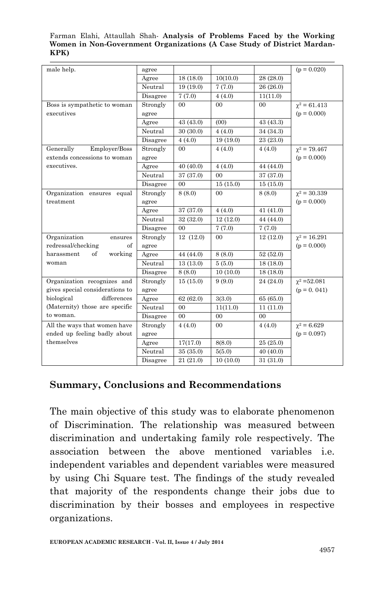#### Farman Elahi, Attaullah Shah*-* **Analysis of Problems Faced by the Working Women in Non-Government Organizations (A Case Study of District Mardan-KPK)**

| male help.                      | agree    |                |                |                | $(p = 0.020)$       |
|---------------------------------|----------|----------------|----------------|----------------|---------------------|
|                                 | Agree    | 18(18.0)       | 10(10.0)       | 28 (28.0)      |                     |
|                                 | Neutral  | 19(19.0)       | 7(7.0)         | 26 (26.0)      |                     |
|                                 | Disagree | 7(7.0)         | 4(4.0)         | 11(11.0)       |                     |
| Boss is sympathetic to woman    | Strongly | $00\,$         | $00\,$         | 0 <sub>0</sub> | $\chi^2 = 61.413$   |
| executives                      | agree    |                |                |                | $(p = 0.000)$       |
|                                 | Agree    | 43 (43.0)      | (00)           | 43 (43.3)      |                     |
|                                 | Neutral  | 30(30.0)       | 4(4.0)         | 34 (34.3)      |                     |
|                                 | Disagree | 4(4.0)         | 19(19.0)       | 23 (23.0)      |                     |
| Generally<br>Employer/Boss      | Strongly | 00             | 4(4.0)         | 4(4.0)         | $\gamma^2 = 79.467$ |
| extends concessions to woman    | agree    |                |                |                | $(p = 0.000)$       |
| executives.                     | Agree    | 40(40.0)       | 4(4.0)         | 44 (44.0)      |                     |
|                                 | Neutral  | 37 (37.0)      | 0 <sup>0</sup> | 37 (37.0)      |                     |
|                                 | Disagree | 00             | 15(15.0)       | 15(15.0)       |                     |
| Organization ensures equal      | Strongly | 8(8.0)         | 0 <sup>0</sup> | 8(8.0)         | $\chi^2 = 30.339$   |
| treatment                       | agree    |                |                |                | $(p = 0.000)$       |
|                                 | Agree    | 37 (37.0)      | 4(4.0)         | 41(41.0)       |                     |
|                                 | Neutral  | 32 (32.0)      | 12 (12.0)      | 44 (44.0)      |                     |
|                                 | Disagree | 0 <sub>0</sub> | 7(7.0)         | 7(7.0)         |                     |
| Organization<br>ensures         | Strongly | 12(12.0)       | $00\,$         | 12(12.0)       | $\gamma^2 = 16.291$ |
| redressal/checking<br>οf        | agree    |                |                |                | $(p = 0.000)$       |
| working<br>harassment<br>of     | Agree    | 44 (44.0)      | 8(8.0)         | 52(52.0)       |                     |
| woman                           | Neutral  | 13(13.0)       | 5(5.0)         | 18(18.0)       |                     |
|                                 | Disagree | 8(8.0)         | 10(10.0)       | 18(18.0)       |                     |
| Organization recognizes and     | Strongly | 15(15.0)       | 9(9.0)         | 24 (24.0)      | $\chi^2 = 52.081$   |
| gives special considerations to | agree    |                |                |                | $(p = 0.041)$       |
| biological<br>differences       | Agree    | 62(62.0)       | 3(3.0)         | 65 (65.0)      |                     |
| (Maternity) those are specific  | Neutral  | 00             | 11(11.0)       | 11(11.0)       |                     |
| to woman.                       | Disagree | 0 <sub>0</sub> | 0 <sub>0</sub> | 0 <sub>0</sub> |                     |
| All the ways that women have    | Strongly | 4(4.0)         | $00\,$         | 4(4.0)         | $\chi^2 = 6.629$    |
| ended up feeling badly about    | agree    |                |                |                | $(p = 0.097)$       |
| themselves                      | Agree    | 17(17.0)       | 8(8.0)         | 25(25.0)       |                     |
|                                 | Neutral  | 35 (35.0)      | 5(5.0)         | 40 (40.0)      |                     |
|                                 | Disagree | 21(21.0)       | 10(10.0)       | 31 (31.0)      |                     |

### **Summary, Conclusions and Recommendations**

The main objective of this study was to elaborate phenomenon of Discrimination. The relationship was measured between discrimination and undertaking family role respectively. The association between the above mentioned variables i.e. independent variables and dependent variables were measured by using Chi Square test. The findings of the study revealed that majority of the respondents change their jobs due to discrimination by their bosses and employees in respective organizations.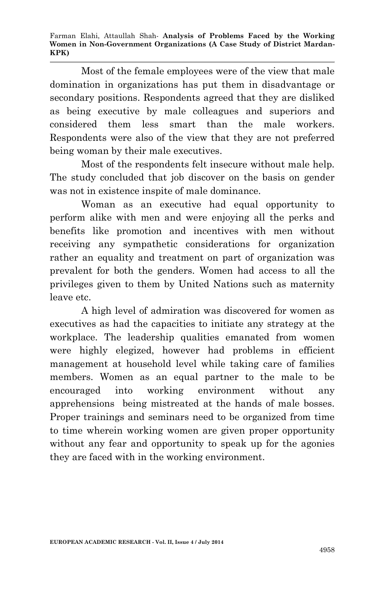Farman Elahi, Attaullah Shah*-* **Analysis of Problems Faced by the Working Women in Non-Government Organizations (A Case Study of District Mardan-KPK)**

Most of the female employees were of the view that male domination in organizations has put them in disadvantage or secondary positions. Respondents agreed that they are disliked as being executive by male colleagues and superiors and considered them less smart than the male workers. Respondents were also of the view that they are not preferred being woman by their male executives.

Most of the respondents felt insecure without male help. The study concluded that job discover on the basis on gender was not in existence inspite of male dominance.

Woman as an executive had equal opportunity to perform alike with men and were enjoying all the perks and benefits like promotion and incentives with men without receiving any sympathetic considerations for organization rather an equality and treatment on part of organization was prevalent for both the genders. Women had access to all the privileges given to them by United Nations such as maternity leave etc.

A high level of admiration was discovered for women as executives as had the capacities to initiate any strategy at the workplace. The leadership qualities emanated from women were highly elegized, however had problems in efficient management at household level while taking care of families members. Women as an equal partner to the male to be encouraged into working environment without any apprehensions being mistreated at the hands of male bosses. Proper trainings and seminars need to be organized from time to time wherein working women are given proper opportunity without any fear and opportunity to speak up for the agonies they are faced with in the working environment.